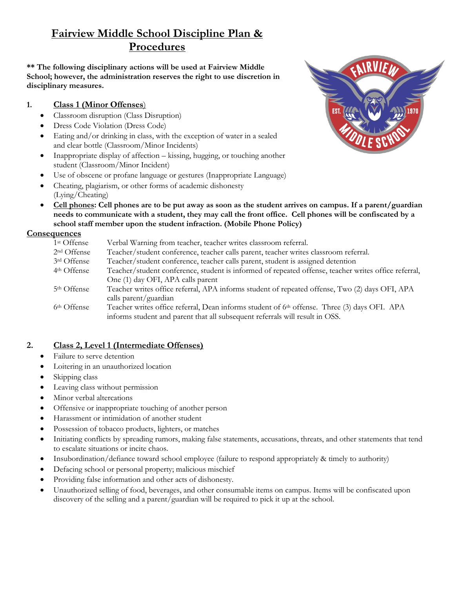# **Fairview Middle School Discipline Plan & Procedures**

**\*\* The following disciplinary actions will be used at Fairview Middle School; however, the administration reserves the right to use discretion in disciplinary measures.**

### **1. Class 1 (Minor Offenses**)

- Classroom disruption (Class Disruption)
- Dress Code Violation (Dress Code)
- Eating and/or drinking in class, with the exception of water in a sealed and clear bottle (Classroom/Minor Incidents)
- Inappropriate display of affection kissing, hugging, or touching another student (Classroom/Minor Incident)
- Use of obscene or profane language or gestures (Inappropriate Language)
- Cheating, plagiarism, or other forms of academic dishonesty (Lying/Cheating)
- **Cell phones: Cell phones are to be put away as soon as the student arrives on campus. If a parent/guardian needs to communicate with a student, they may call the front office. Cell phones will be confiscated by a school staff member upon the student infraction. (Mobile Phone Policy)**

### **Consequences**

| 1 <sup>st</sup> Offense | Verbal Warning from teacher, teacher writes classroom referral.                                      |
|-------------------------|------------------------------------------------------------------------------------------------------|
| 2 <sup>nd</sup> Offense | Teacher/student conference, teacher calls parent, teacher writes classroom referral.                 |
| 3rd Offense             | Teacher/student conference, teacher calls parent, student is assigned detention                      |
| 4 <sup>th</sup> Offense | Teacher/student conference, student is informed of repeated offense, teacher writes office referral, |
|                         | One (1) day OFI, APA calls parent                                                                    |
| 5 <sup>th</sup> Offense | Teacher writes office referral, APA informs student of repeated offense, Two (2) days OFI, APA       |
|                         | calls parent/guardian                                                                                |
| 6 <sup>th</sup> Offense | Teacher writes office referral, Dean informs student of 6th offense. Three (3) days OFI. APA         |
|                         | informs student and parent that all subsequent referrals will result in OSS.                         |
|                         |                                                                                                      |

## **2. Class 2, Level 1 (Intermediate Offenses)**

- Failure to serve detention
- Loitering in an unauthorized location
- Skipping class
- Leaving class without permission
- Minor verbal altercations
- Offensive or inappropriate touching of another person
- Harassment or intimidation of another student
- Possession of tobacco products, lighters, or matches
- Initiating conflicts by spreading rumors, making false statements, accusations, threats, and other statements that tend to escalate situations or incite chaos.
- Insubordination/defiance toward school employee (failure to respond appropriately & timely to authority)
- Defacing school or personal property; malicious mischief
- Providing false information and other acts of dishonesty.
- Unauthorized selling of food, beverages, and other consumable items on campus. Items will be confiscated upon discovery of the selling and a parent/guardian will be required to pick it up at the school.

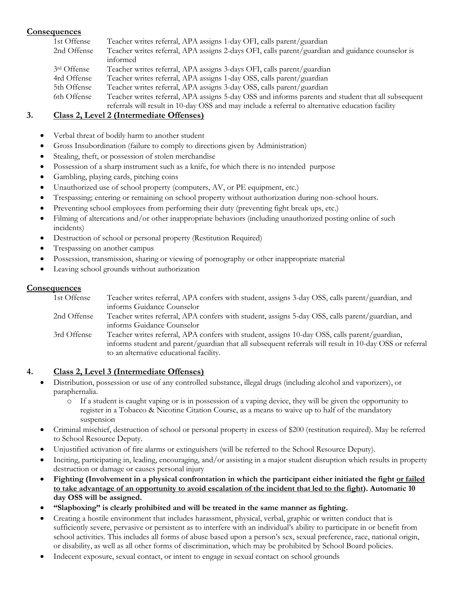#### **Consequences**

| 1st Offense | Teacher writes referral, APA assigns 1-day OFI, calls parent/guardian                              |
|-------------|----------------------------------------------------------------------------------------------------|
| 2nd Offense | Teacher writes referral, APA assigns 2-days OFI, calls parent/guardian and guidance counselor is   |
|             | informed                                                                                           |
| 3rd Offense | Teacher writes referral, APA assigns 3-days OFI, calls parent/guardian                             |
| 4rd Offense | Teacher writes referral, APA assigns 1-day OSS, calls parent/guardian                              |
| 5th Offense | Teacher writes referral, APA assigns 3-day OSS, calls parent/guardian                              |
| 6th Offense | Teacher writes referral, APA assigns 5-day OSS and informs parents and student that all subsequent |
|             | referrals will result in 10-day OSS and may include a referral to alternative education facility   |

#### **3. Class 2, Level 2 (Intermediate Offenses)**

- Verbal threat of bodily harm to another student
- Gross Insubordination (failure to comply to directions given by Administration)
- Stealing, theft, or possession of stolen merchandise
- Possession of a sharp instrument such as a knife, for which there is no intended purpose
- Gambling, playing cards, pitching coins
- Unauthorized use of school property (computers, AV, or PE equipment, etc.)
- Trespassing; entering or remaining on school property without authorization during non-school hours.
- Preventing school employees from performing their duty (preventing fight break ups, etc.)
- Filming of altercations and/or other inappropriate behaviors (including unauthorized posting online of such incidents)
- Destruction of school or personal property (Restitution Required)
- Trespassing on another campus
- Possession, transmission, sharing or viewing of pornography or other inappropriate material
- Leaving school grounds without authorization

#### **Consequences**

| 1st Offense | Teacher writes referral, APA confers with student, assigns 3-day OSS, calls parent/guardian, and        |
|-------------|---------------------------------------------------------------------------------------------------------|
|             | informs Guidance Counselor                                                                              |
| 2nd Offense | Teacher writes referral, APA confers with student, assigns 5-day OSS, calls parent/guardian, and        |
|             | informs Guidance Counselor                                                                              |
| 3rd Offense | Teacher writes referral, APA confers with student, assigns 10-day OSS, calls parent/guardian,           |
|             | informs student and parent/guardian that all subsequent referrals will result in 10-day OSS or referral |
|             | to an alternative educational facility.                                                                 |

#### **4. Class 2, Level 3 (Intermediate Offenses)**

- Distribution, possession or use of any controlled substance, illegal drugs (including alcohol and vaporizers), or paraphernalia.
	- o If a student is caught vaping or is in possession of a vaping device, they will be given the opportunity to register in a Tobacco & Nicotine Citation Course, as a means to waive up to half of the mandatory suspension
- Criminal mischief, destruction of school or personal property in excess of \$200 (restitution required). May be referred to School Resource Deputy.
- Unjustified activation of fire alarms or extinguishers (will be referred to the School Resource Deputy).
- Inciting, participating in, leading, encouraging, and/or assisting in a major student disruption which results in property destruction or damage or causes personal injury
- Fighting (Involvement in a physical confrontation in which the participant either initiated the fight or failed **to take advantage of an opportunity to avoid escalation of the incident that led to the fight). Automatic 10 day OSS will be assigned.**
- **"Slapboxing" is clearly prohibited and will be treated in the same manner as fighting.**
- Creating a hostile environment that includes harassment, physical, verbal, graphic or written conduct that is sufficiently severe, pervasive or persistent as to interfere with an individual's ability to participate in or benefit from school activities. This includes all forms of abuse based upon a person's sex, sexual preference, race, national origin, or disability, as well as all other forms of discrimination, which may be prohibited by School Board policies.
- Indecent exposure, sexual contact, or intent to engage in sexual contact on school grounds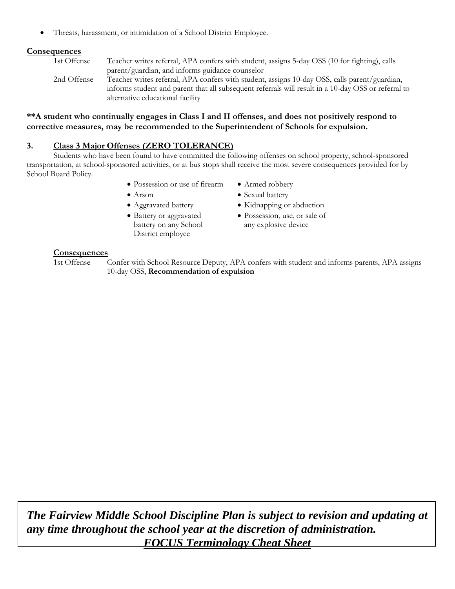Threats, harassment, or intimidation of a School District Employee.

#### **Consequences**

1st Offense Teacher writes referral, APA confers with student, assigns 5-day OSS (10 for fighting), calls parent/guardian, and informs guidance counselor 2nd Offense Teacher writes referral, APA confers with student, assigns 10-day OSS, calls parent/guardian, informs student and parent that all subsequent referrals will result in a 10-day OSS or referral to alternative educational facility

#### **\*\*A student who continually engages in Class I and II offenses, and does not positively respond to corrective measures, may be recommended to the Superintendent of Schools for expulsion.**

#### **3. Class 3 Major Offenses (ZERO TOLERANCE)**

Students who have been found to have committed the following offenses on school property, school-sponsored transportation, at school-sponsored activities, or at bus stops shall receive the most severe consequences provided for by School Board Policy.

- Possession or use of firearm
- Arson
- Aggravated battery
- Battery or aggravated battery on any School District employee
- Armed robbery
- Sexual battery
- Kidnapping or abduction
- Possession, use, or sale of any explosive device

#### **Consequences**

1st Offense Confer with School Resource Deputy, APA confers with student and informs parents, APA assigns 10-day OSS, **Recommendation of expulsion**

*The Fairview Middle School Discipline Plan is subject to revision and updating at any time throughout the school year at the discretion of administration. FOCUS Terminology Cheat Sheet*